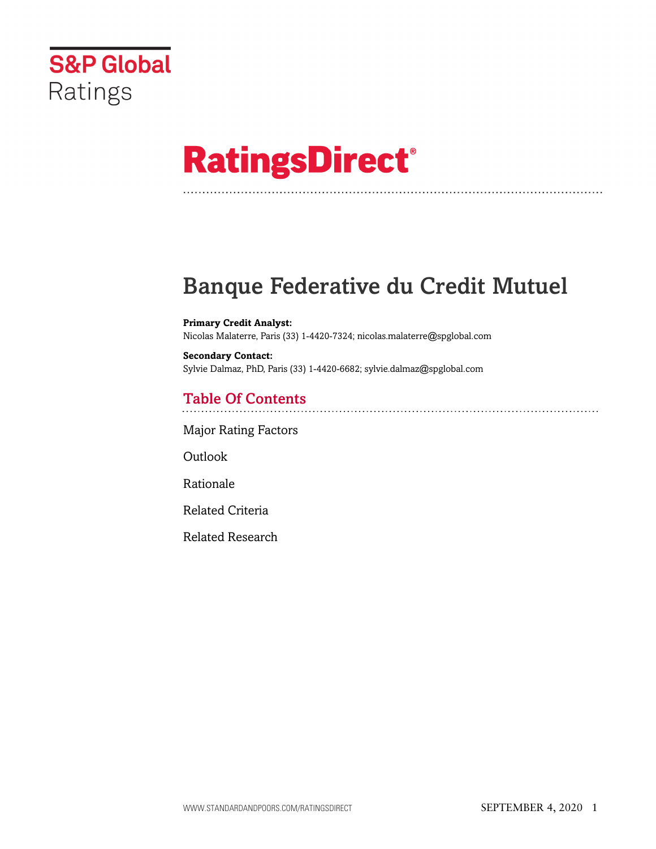

# **RatingsDirect®**

### Banque Federative du Credit Mutuel

**Primary Credit Analyst:** Nicolas Malaterre, Paris (33) 1-4420-7324; nicolas.malaterre@spglobal.com

**Secondary Contact:** Sylvie Dalmaz, PhD, Paris (33) 1-4420-6682; sylvie.dalmaz@spglobal.com

### Table Of Contents

[Major Rating Factors](#page-1-0)

Outlook

[Rationale](#page-2-0)

[Related Criteria](#page-6-0)

[Related Research](#page-6-1)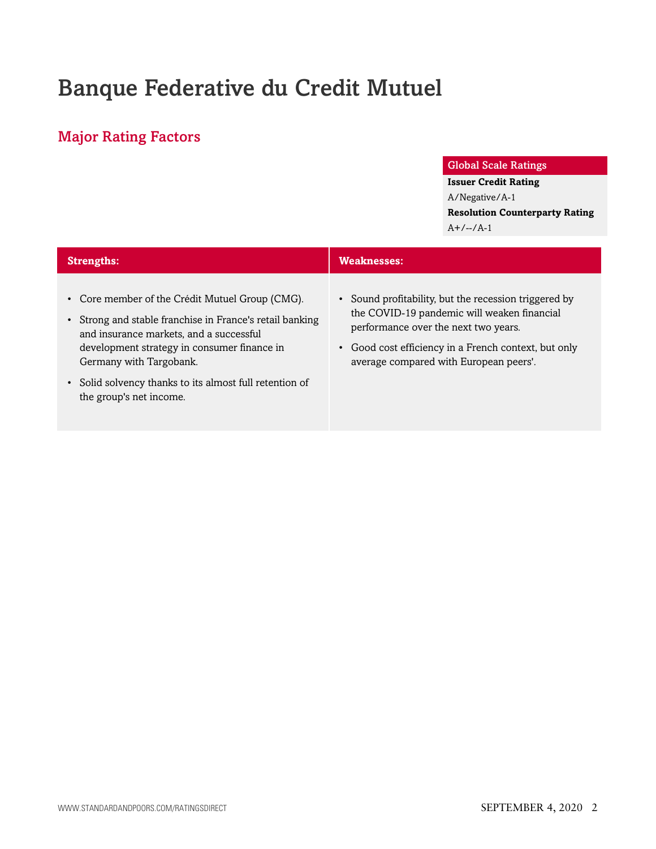## Banque Federative du Credit Mutuel

### <span id="page-1-0"></span>Major Rating Factors

#### Global Scale Ratings

#### **Issuer Credit Rating**

A/Negative/A-1 **Resolution Counterparty Rating**  $A+/-/-/A-1$ 

| <b>Strengths:</b>                                                                                                                                                                                                                                                                                                    | <b>Weaknesses:</b>                                                                                                                                                                                                                             |
|----------------------------------------------------------------------------------------------------------------------------------------------------------------------------------------------------------------------------------------------------------------------------------------------------------------------|------------------------------------------------------------------------------------------------------------------------------------------------------------------------------------------------------------------------------------------------|
| • Core member of the Crédit Mutuel Group (CMG).<br>Strong and stable franchise in France's retail banking<br>and insurance markets, and a successful<br>development strategy in consumer finance in<br>Germany with Targobank.<br>• Solid solvency thanks to its almost full retention of<br>the group's net income. | • Sound profitability, but the recession triggered by<br>the COVID-19 pandemic will weaken financial<br>performance over the next two years.<br>• Good cost efficiency in a French context, but only<br>average compared with European peers'. |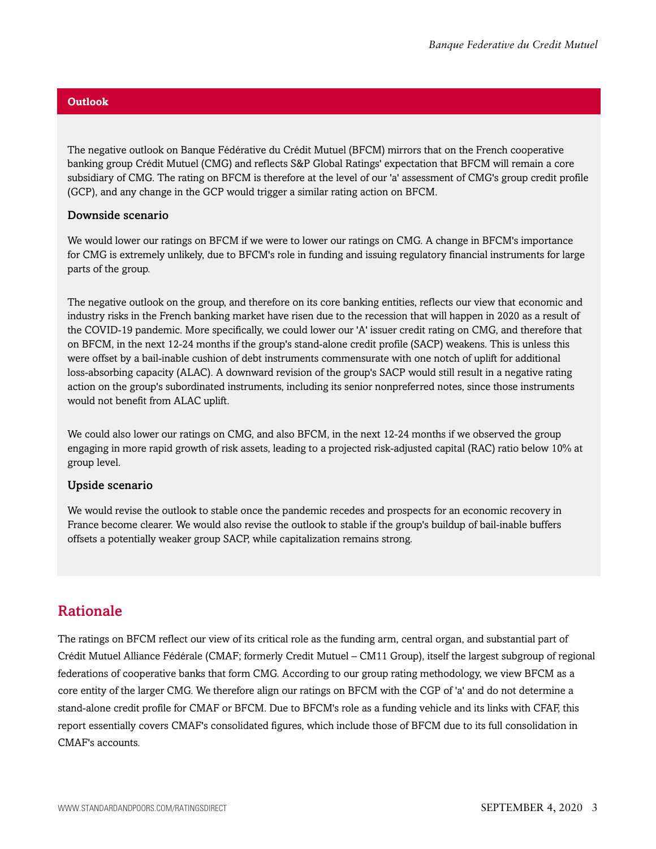#### **Outlook**

The negative outlook on Banque Fédérative du Crédit Mutuel (BFCM) mirrors that on the French cooperative banking group Crédit Mutuel (CMG) and reflects S&P Global Ratings' expectation that BFCM will remain a core subsidiary of CMG. The rating on BFCM is therefore at the level of our 'a' assessment of CMG's group credit profile (GCP), and any change in the GCP would trigger a similar rating action on BFCM.

#### Downside scenario

We would lower our ratings on BFCM if we were to lower our ratings on CMG. A change in BFCM's importance for CMG is extremely unlikely, due to BFCM's role in funding and issuing regulatory financial instruments for large parts of the group.

The negative outlook on the group, and therefore on its core banking entities, reflects our view that economic and industry risks in the French banking market have risen due to the recession that will happen in 2020 as a result of the COVID-19 pandemic. More specifically, we could lower our 'A' issuer credit rating on CMG, and therefore that on BFCM, in the next 12-24 months if the group's stand-alone credit profile (SACP) weakens. This is unless this were offset by a bail-inable cushion of debt instruments commensurate with one notch of uplift for additional loss-absorbing capacity (ALAC). A downward revision of the group's SACP would still result in a negative rating action on the group's subordinated instruments, including its senior nonpreferred notes, since those instruments would not benefit from ALAC uplift.

We could also lower our ratings on CMG, and also BFCM, in the next 12-24 months if we observed the group engaging in more rapid growth of risk assets, leading to a projected risk-adjusted capital (RAC) ratio below 10% at group level.

#### Upside scenario

We would revise the outlook to stable once the pandemic recedes and prospects for an economic recovery in France become clearer. We would also revise the outlook to stable if the group's buildup of bail-inable buffers offsets a potentially weaker group SACP, while capitalization remains strong.

#### <span id="page-2-0"></span>Rationale

The ratings on BFCM reflect our view of its critical role as the funding arm, central organ, and substantial part of Crédit Mutuel Alliance Fédérale (CMAF; formerly Credit Mutuel – CM11 Group), itself the largest subgroup of regional federations of cooperative banks that form CMG. According to our group rating methodology, we view BFCM as a core entity of the larger CMG. We therefore align our ratings on BFCM with the CGP of 'a' and do not determine a stand-alone credit profile for CMAF or BFCM. Due to BFCM's role as a funding vehicle and its links with CFAF, this report essentially covers CMAF's consolidated figures, which include those of BFCM due to its full consolidation in CMAF's accounts.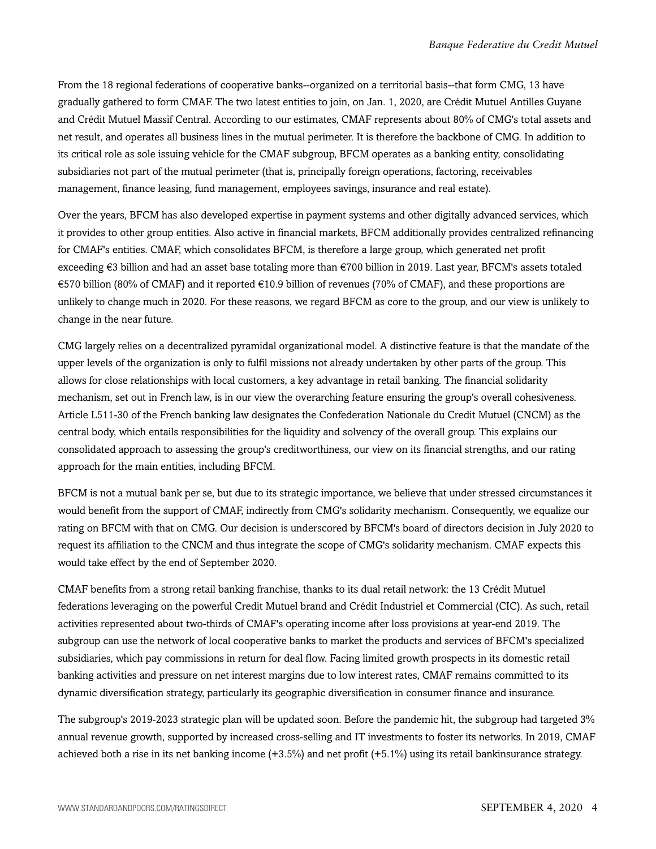From the 18 regional federations of cooperative banks--organized on a territorial basis--that form CMG, 13 have gradually gathered to form CMAF. The two latest entities to join, on Jan. 1, 2020, are Crédit Mutuel Antilles Guyane and Crédit Mutuel Massif Central. According to our estimates, CMAF represents about 80% of CMG's total assets and net result, and operates all business lines in the mutual perimeter. It is therefore the backbone of CMG. In addition to its critical role as sole issuing vehicle for the CMAF subgroup, BFCM operates as a banking entity, consolidating subsidiaries not part of the mutual perimeter (that is, principally foreign operations, factoring, receivables management, finance leasing, fund management, employees savings, insurance and real estate).

Over the years, BFCM has also developed expertise in payment systems and other digitally advanced services, which it provides to other group entities. Also active in financial markets, BFCM additionally provides centralized refinancing for CMAF's entities. CMAF, which consolidates BFCM, is therefore a large group, which generated net profit exceeding €3 billion and had an asset base totaling more than €700 billion in 2019. Last year, BFCM's assets totaled €570 billion (80% of CMAF) and it reported €10.9 billion of revenues (70% of CMAF), and these proportions are unlikely to change much in 2020. For these reasons, we regard BFCM as core to the group, and our view is unlikely to change in the near future.

CMG largely relies on a decentralized pyramidal organizational model. A distinctive feature is that the mandate of the upper levels of the organization is only to fulfil missions not already undertaken by other parts of the group. This allows for close relationships with local customers, a key advantage in retail banking. The financial solidarity mechanism, set out in French law, is in our view the overarching feature ensuring the group's overall cohesiveness. Article L511-30 of the French banking law designates the Confederation Nationale du Credit Mutuel (CNCM) as the central body, which entails responsibilities for the liquidity and solvency of the overall group. This explains our consolidated approach to assessing the group's creditworthiness, our view on its financial strengths, and our rating approach for the main entities, including BFCM.

BFCM is not a mutual bank per se, but due to its strategic importance, we believe that under stressed circumstances it would benefit from the support of CMAF, indirectly from CMG's solidarity mechanism. Consequently, we equalize our rating on BFCM with that on CMG. Our decision is underscored by BFCM's board of directors decision in July 2020 to request its affiliation to the CNCM and thus integrate the scope of CMG's solidarity mechanism. CMAF expects this would take effect by the end of September 2020.

CMAF benefits from a strong retail banking franchise, thanks to its dual retail network: the 13 Crédit Mutuel federations leveraging on the powerful Credit Mutuel brand and Crédit Industriel et Commercial (CIC). As such, retail activities represented about two-thirds of CMAF's operating income after loss provisions at year-end 2019. The subgroup can use the network of local cooperative banks to market the products and services of BFCM's specialized subsidiaries, which pay commissions in return for deal flow. Facing limited growth prospects in its domestic retail banking activities and pressure on net interest margins due to low interest rates, CMAF remains committed to its dynamic diversification strategy, particularly its geographic diversification in consumer finance and insurance.

The subgroup's 2019-2023 strategic plan will be updated soon. Before the pandemic hit, the subgroup had targeted 3% annual revenue growth, supported by increased cross-selling and IT investments to foster its networks. In 2019, CMAF achieved both a rise in its net banking income (+3.5%) and net profit (+5.1%) using its retail bankinsurance strategy.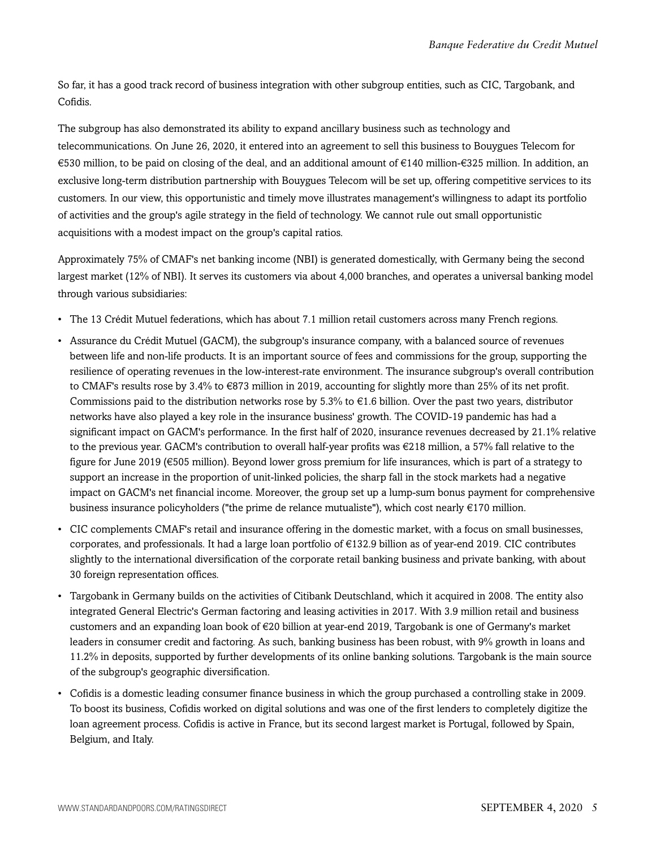So far, it has a good track record of business integration with other subgroup entities, such as CIC, Targobank, and Cofidis.

The subgroup has also demonstrated its ability to expand ancillary business such as technology and telecommunications. On June 26, 2020, it entered into an agreement to sell this business to Bouygues Telecom for €530 million, to be paid on closing of the deal, and an additional amount of €140 million-€325 million. In addition, an exclusive long-term distribution partnership with Bouygues Telecom will be set up, offering competitive services to its customers. In our view, this opportunistic and timely move illustrates management's willingness to adapt its portfolio of activities and the group's agile strategy in the field of technology. We cannot rule out small opportunistic acquisitions with a modest impact on the group's capital ratios.

Approximately 75% of CMAF's net banking income (NBI) is generated domestically, with Germany being the second largest market (12% of NBI). It serves its customers via about 4,000 branches, and operates a universal banking model through various subsidiaries:

- The 13 Crédit Mutuel federations, which has about 7.1 million retail customers across many French regions.
- Assurance du Crédit Mutuel (GACM), the subgroup's insurance company, with a balanced source of revenues between life and non-life products. It is an important source of fees and commissions for the group, supporting the resilience of operating revenues in the low-interest-rate environment. The insurance subgroup's overall contribution to CMAF's results rose by 3.4% to €873 million in 2019, accounting for slightly more than 25% of its net profit. Commissions paid to the distribution networks rose by  $5.3\%$  to  $\epsilon$ 1.6 billion. Over the past two years, distributor networks have also played a key role in the insurance business' growth. The COVID-19 pandemic has had a significant impact on GACM's performance. In the first half of 2020, insurance revenues decreased by 21.1% relative to the previous year. GACM's contribution to overall half-year profits was €218 million, a 57% fall relative to the figure for June 2019 (€505 million). Beyond lower gross premium for life insurances, which is part of a strategy to support an increase in the proportion of unit-linked policies, the sharp fall in the stock markets had a negative impact on GACM's net financial income. Moreover, the group set up a lump-sum bonus payment for comprehensive business insurance policyholders ("the prime de relance mutualiste"), which cost nearly  $\epsilon$ 170 million.
- CIC complements CMAF's retail and insurance offering in the domestic market, with a focus on small businesses, corporates, and professionals. It had a large loan portfolio of €132.9 billion as of year-end 2019. CIC contributes slightly to the international diversification of the corporate retail banking business and private banking, with about 30 foreign representation offices.
- Targobank in Germany builds on the activities of Citibank Deutschland, which it acquired in 2008. The entity also integrated General Electric's German factoring and leasing activities in 2017. With 3.9 million retail and business customers and an expanding loan book of €20 billion at year-end 2019, Targobank is one of Germany's market leaders in consumer credit and factoring. As such, banking business has been robust, with 9% growth in loans and 11.2% in deposits, supported by further developments of its online banking solutions. Targobank is the main source of the subgroup's geographic diversification.
- Cofidis is a domestic leading consumer finance business in which the group purchased a controlling stake in 2009. To boost its business, Cofidis worked on digital solutions and was one of the first lenders to completely digitize the loan agreement process. Cofidis is active in France, but its second largest market is Portugal, followed by Spain, Belgium, and Italy.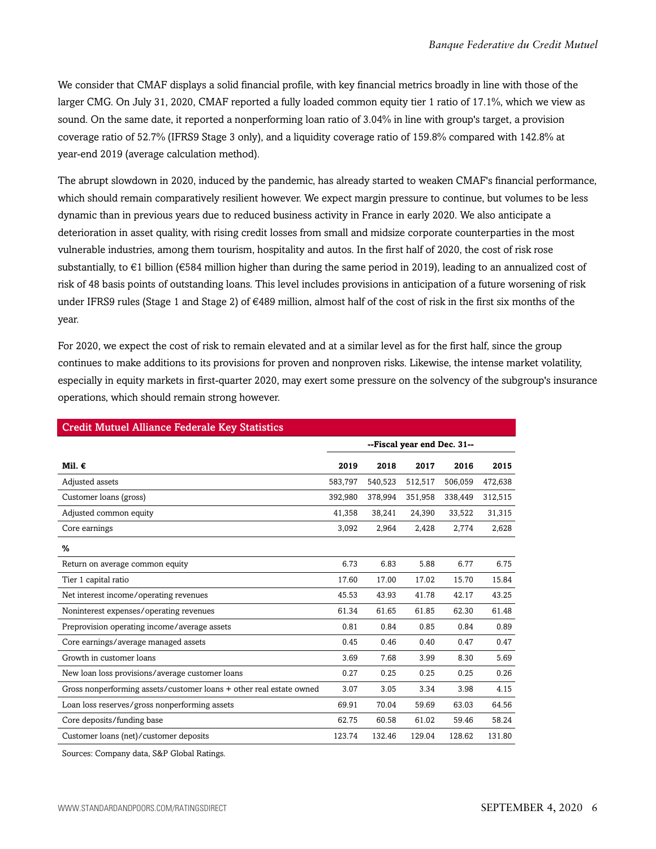We consider that CMAF displays a solid financial profile, with key financial metrics broadly in line with those of the larger CMG. On July 31, 2020, CMAF reported a fully loaded common equity tier 1 ratio of 17.1%, which we view as sound. On the same date, it reported a nonperforming loan ratio of 3.04% in line with group's target, a provision coverage ratio of 52.7% (IFRS9 Stage 3 only), and a liquidity coverage ratio of 159.8% compared with 142.8% at year-end 2019 (average calculation method).

The abrupt slowdown in 2020, induced by the pandemic, has already started to weaken CMAF's financial performance, which should remain comparatively resilient however. We expect margin pressure to continue, but volumes to be less dynamic than in previous years due to reduced business activity in France in early 2020. We also anticipate a deterioration in asset quality, with rising credit losses from small and midsize corporate counterparties in the most vulnerable industries, among them tourism, hospitality and autos. In the first half of 2020, the cost of risk rose substantially, to  $\epsilon$ 1 billion ( $\epsilon$ 584 million higher than during the same period in 2019), leading to an annualized cost of risk of 48 basis points of outstanding loans. This level includes provisions in anticipation of a future worsening of risk under IFRS9 rules (Stage 1 and Stage 2) of  $\in$ 489 million, almost half of the cost of risk in the first six months of the year.

For 2020, we expect the cost of risk to remain elevated and at a similar level as for the first half, since the group continues to make additions to its provisions for proven and nonproven risks. Likewise, the intense market volatility, especially in equity markets in first-quarter 2020, may exert some pressure on the solvency of the subgroup's insurance operations, which should remain strong however.

| <b>Credit Mutuel Alliance Federale Key Statistics</b> |         |         |         |         |  |  |
|-------------------------------------------------------|---------|---------|---------|---------|--|--|
| --Fiscal year end Dec. 31--                           |         |         |         |         |  |  |
| 2019                                                  | 2018    | 2017    | 2016    | 2015    |  |  |
| 583,797                                               | 540,523 | 512,517 | 506,059 | 472,638 |  |  |
| 392,980                                               | 378,994 | 351,958 | 338,449 | 312,515 |  |  |
| 41,358                                                | 38,241  | 24,390  | 33,522  | 31,315  |  |  |
| 3,092                                                 | 2,964   | 2,428   | 2,774   | 2,628   |  |  |
|                                                       |         |         |         |         |  |  |
| 6.73                                                  | 6.83    | 5.88    | 6.77    | 6.75    |  |  |
| 17.60                                                 | 17.00   | 17.02   | 15.70   | 15.84   |  |  |
| 45.53                                                 | 43.93   | 41.78   | 42.17   | 43.25   |  |  |
| 61.34                                                 | 61.65   | 61.85   | 62.30   | 61.48   |  |  |
| 0.81                                                  | 0.84    | 0.85    | 0.84    | 0.89    |  |  |
| 0.45                                                  | 0.46    | 0.40    | 0.47    | 0.47    |  |  |
| 3.69                                                  | 7.68    | 3.99    | 8.30    | 5.69    |  |  |
| 0.27                                                  | 0.25    | 0.25    | 0.25    | 0.26    |  |  |
| 3.07                                                  | 3.05    | 3.34    | 3.98    | 4.15    |  |  |
| 69.91                                                 | 70.04   | 59.69   | 63.03   | 64.56   |  |  |
| 62.75                                                 | 60.58   | 61.02   | 59.46   | 58.24   |  |  |
| 123.74                                                | 132.46  | 129.04  | 128.62  | 131.80  |  |  |
|                                                       |         |         |         |         |  |  |

Sources: Company data, S&P Global Ratings.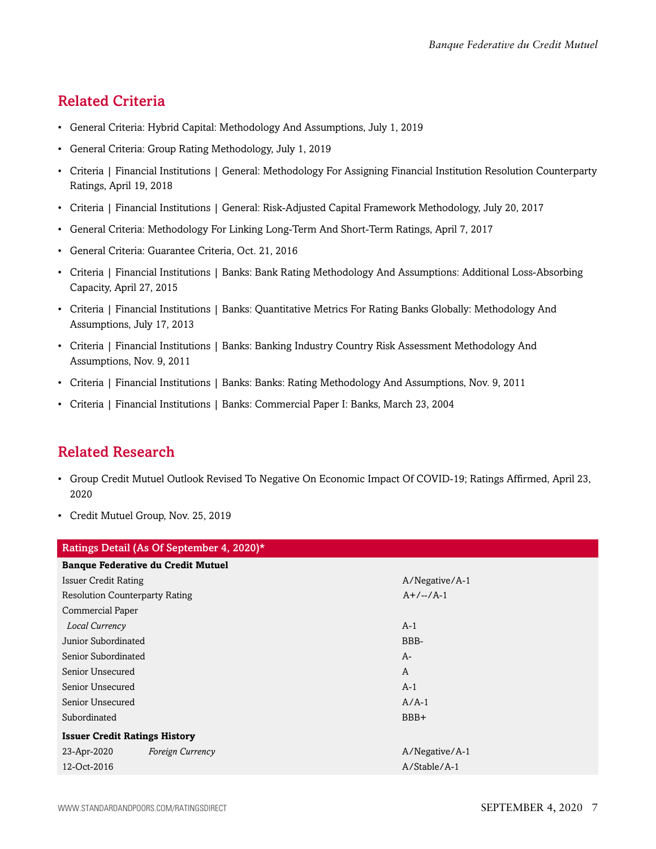#### <span id="page-6-0"></span>Related Criteria

- General Criteria: Hybrid Capital: Methodology And Assumptions, July 1, 2019
- General Criteria: Group Rating Methodology, July 1, 2019
- Criteria | Financial Institutions | General: Methodology For Assigning Financial Institution Resolution Counterparty Ratings, April 19, 2018
- Criteria | Financial Institutions | General: Risk-Adjusted Capital Framework Methodology, July 20, 2017
- General Criteria: Methodology For Linking Long-Term And Short-Term Ratings, April 7, 2017
- General Criteria: Guarantee Criteria, Oct. 21, 2016
- Criteria | Financial Institutions | Banks: Bank Rating Methodology And Assumptions: Additional Loss-Absorbing Capacity, April 27, 2015
- Criteria | Financial Institutions | Banks: Quantitative Metrics For Rating Banks Globally: Methodology And Assumptions, July 17, 2013
- Criteria | Financial Institutions | Banks: Banking Industry Country Risk Assessment Methodology And Assumptions, Nov. 9, 2011
- Criteria | Financial Institutions | Banks: Banks: Rating Methodology And Assumptions, Nov. 9, 2011
- Criteria | Financial Institutions | Banks: Commercial Paper I: Banks, March 23, 2004

### <span id="page-6-1"></span>Related Research

- Group Credit Mutuel Outlook Revised To Negative On Economic Impact Of COVID-19; Ratings Affirmed, April 23, 2020
- Credit Mutuel Group, Nov. 25, 2019

| Ratings Detail (As Of September 4, 2020)* |                                           |                |  |  |
|-------------------------------------------|-------------------------------------------|----------------|--|--|
|                                           | <b>Banque Federative du Credit Mutuel</b> |                |  |  |
| <b>Issuer Credit Rating</b>               |                                           | A/Negative/A-1 |  |  |
| <b>Resolution Counterparty Rating</b>     |                                           | $A+/-/-/A-1$   |  |  |
| <b>Commercial Paper</b>                   |                                           |                |  |  |
| Local Currency                            |                                           | $A-1$          |  |  |
| Junior Subordinated                       |                                           | BBB-           |  |  |
| Senior Subordinated                       |                                           | A-             |  |  |
| Senior Unsecured                          |                                           | A              |  |  |
| Senior Unsecured                          |                                           | $A-1$          |  |  |
| Senior Unsecured                          |                                           | $A/A-1$        |  |  |
| Subordinated                              |                                           | BBB+           |  |  |
| <b>Issuer Credit Ratings History</b>      |                                           |                |  |  |
| 23-Apr-2020                               | Foreign Currency                          | A/Negative/A-1 |  |  |
| 12-Oct-2016                               |                                           | A/Stable/A-1   |  |  |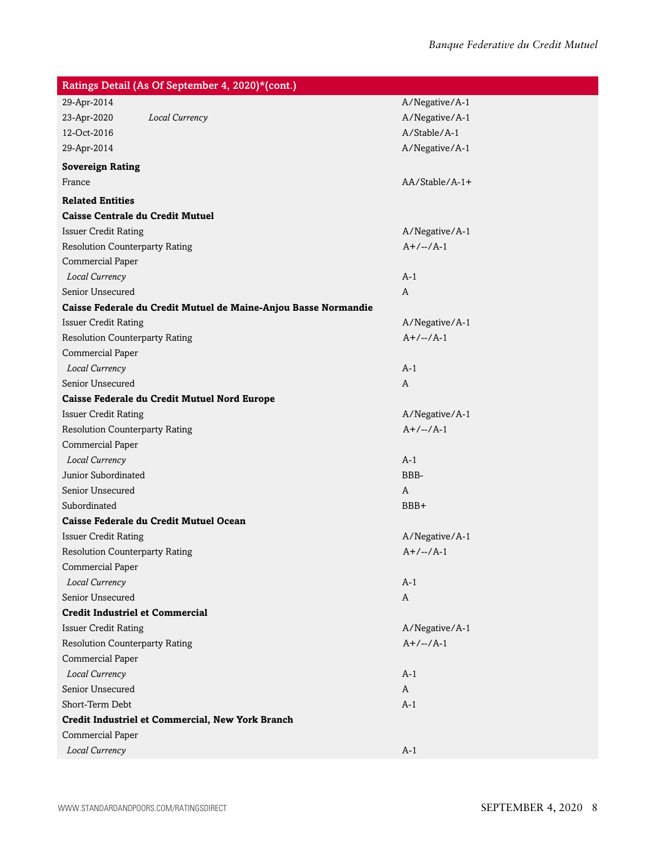| Ratings Detail (As Of September 4, 2020)*(cont.)                |                |  |  |  |
|-----------------------------------------------------------------|----------------|--|--|--|
| 29-Apr-2014                                                     | A/Negative/A-1 |  |  |  |
| 23-Apr-2020<br>Local Currency                                   | A/Negative/A-1 |  |  |  |
| 12-Oct-2016                                                     | A/Stable/A-1   |  |  |  |
| 29-Apr-2014                                                     | A/Negative/A-1 |  |  |  |
| <b>Sovereign Rating</b>                                         |                |  |  |  |
| France                                                          | AA/Stable/A-1+ |  |  |  |
| <b>Related Entities</b>                                         |                |  |  |  |
| <b>Caisse Centrale du Credit Mutuel</b>                         |                |  |  |  |
| <b>Issuer Credit Rating</b>                                     | A/Negative/A-1 |  |  |  |
| <b>Resolution Counterparty Rating</b>                           | $A+/-/A-1$     |  |  |  |
| Commercial Paper                                                |                |  |  |  |
| Local Currency                                                  | $A-1$          |  |  |  |
| Senior Unsecured                                                | A              |  |  |  |
| Caisse Federale du Credit Mutuel de Maine-Anjou Basse Normandie |                |  |  |  |
| <b>Issuer Credit Rating</b>                                     | A/Negative/A-1 |  |  |  |
| <b>Resolution Counterparty Rating</b>                           | $A+/-/A-1$     |  |  |  |
| Commercial Paper                                                |                |  |  |  |
| Local Currency                                                  | $A-1$          |  |  |  |
| Senior Unsecured                                                | A              |  |  |  |
| Caisse Federale du Credit Mutuel Nord Europe                    |                |  |  |  |
| <b>Issuer Credit Rating</b>                                     | A/Negative/A-1 |  |  |  |
| <b>Resolution Counterparty Rating</b>                           | $A+/-/A-1$     |  |  |  |
| Commercial Paper                                                |                |  |  |  |
| Local Currency                                                  | $A-1$          |  |  |  |
| Junior Subordinated                                             | BBB-           |  |  |  |
| Senior Unsecured                                                | A              |  |  |  |
| Subordinated                                                    | BBB+           |  |  |  |
| Caisse Federale du Credit Mutuel Ocean                          |                |  |  |  |
| <b>Issuer Credit Rating</b>                                     | A/Negative/A-1 |  |  |  |
| <b>Resolution Counterparty Rating</b>                           | $A+/-/-/A-1$   |  |  |  |
| Commercial Paper                                                |                |  |  |  |
| Local Currency                                                  | $A-1$          |  |  |  |
| Senior Unsecured                                                | A              |  |  |  |
| <b>Credit Industriel et Commercial</b>                          |                |  |  |  |
| <b>Issuer Credit Rating</b>                                     | A/Negative/A-1 |  |  |  |
| <b>Resolution Counterparty Rating</b>                           | $A+/-/-/A-1$   |  |  |  |
| Commercial Paper                                                |                |  |  |  |
| Local Currency                                                  | $A-1$          |  |  |  |
| Senior Unsecured                                                | A              |  |  |  |
| Short-Term Debt                                                 | $A-1$          |  |  |  |
| Credit Industriel et Commercial, New York Branch                |                |  |  |  |
| Commercial Paper                                                |                |  |  |  |
| Local Currency                                                  | $A-1$          |  |  |  |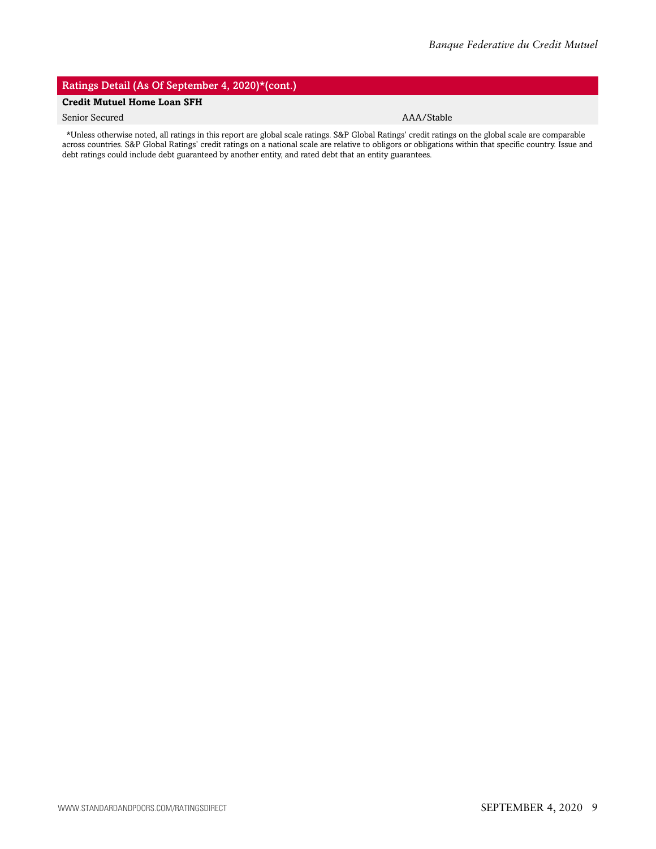#### Ratings Detail (As Of September 4, 2020)\*(cont.)

#### **Credit Mutuel Home Loan SFH**

#### Senior Secured AAA/Stable

\*Unless otherwise noted, all ratings in this report are global scale ratings. S&P Global Ratings' credit ratings on the global scale are comparable across countries. S&P Global Ratings' credit ratings on a national scale are relative to obligors or obligations within that specific country. Issue and debt ratings could include debt guaranteed by another entity, and rated debt that an entity guarantees.